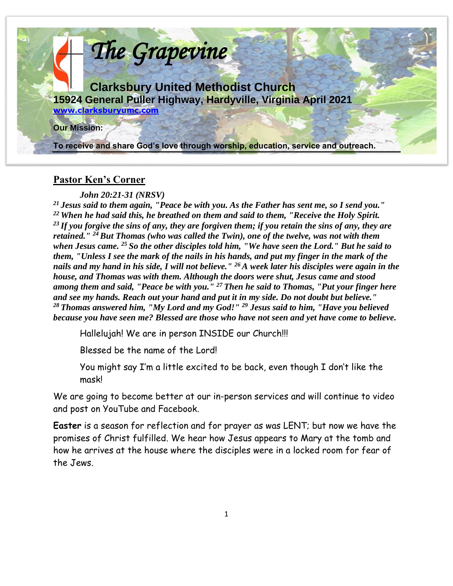

# **Pastor Ken's Corner**

#### *John 20:21-31 (NRSV)*

*<sup>21</sup>Jesus said to them again, "Peace be with you. As the Father has sent me, so I send you." <sup>22</sup>When he had said this, he breathed on them and said to them, "Receive the Holy Spirit. <sup>23</sup>If you forgive the sins of any, they are forgiven them; if you retain the sins of any, they are retained." <sup>24</sup>But Thomas (who was called the Twin), one of the twelve, was not with them when Jesus came. <sup>25</sup>So the other disciples told him, "We have seen the Lord." But he said to them, "Unless I see the mark of the nails in his hands, and put my finger in the mark of the nails and my hand in his side, I will not believe." <sup>26</sup>A week later his disciples were again in the house, and Thomas was with them. Although the doors were shut, Jesus came and stood among them and said, "Peace be with you." <sup>27</sup>Then he said to Thomas, "Put your finger here and see my hands. Reach out your hand and put it in my side. Do not doubt but believe." <sup>28</sup>Thomas answered him, "My Lord and my God!" <sup>29</sup> Jesus said to him, "Have you believed because you have seen me? Blessed are those who have not seen and yet have come to believe.*

Hallelujah! We are in person INSIDE our Church!!!

Blessed be the name of the Lord!

You might say I'm a little excited to be back, even though I don't like the mask!

We are going to become better at our in-person services and will continue to video and post on YouTube and Facebook.

**Easter** is a season for reflection and for prayer as was LENT; but now we have the promises of Christ fulfilled. We hear how Jesus appears to Mary at the tomb and how he arrives at the house where the disciples were in a locked room for fear of the Jews.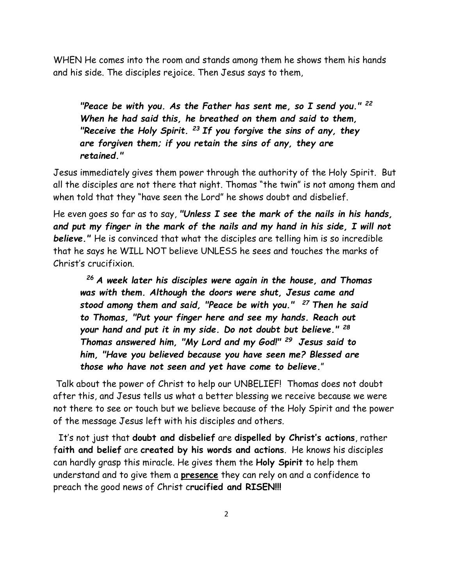WHEN He comes into the room and stands among them he shows them his hands and his side. The disciples rejoice. Then Jesus says to them,

*"Peace be with you. As the Father has sent me, so I send you." <sup>22</sup> When he had said this, he breathed on them and said to them, "Receive the Holy Spirit. <sup>23</sup>If you forgive the sins of any, they are forgiven them; if you retain the sins of any, they are retained."* 

Jesus immediately gives them power through the authority of the Holy Spirit. But all the disciples are not there that night. Thomas "the twin" is not among them and when told that they "have seen the Lord" he shows doubt and disbelief.

He even goes so far as to say, *"Unless I see the mark of the nails in his hands, and put my finger in the mark of the nails and my hand in his side, I will not believe."* He is convinced that what the disciples are telling him is so incredible that he says he WILL NOT believe UNLESS he sees and touches the marks of Christ's crucifixion.

*<sup>26</sup>A week later his disciples were again in the house, and Thomas was with them. Although the doors were shut, Jesus came and stood among them and said, "Peace be with you." <sup>27</sup>Then he said to Thomas, "Put your finger here and see my hands. Reach out your hand and put it in my side. Do not doubt but believe." <sup>28</sup> Thomas answered him, "My Lord and my God!" <sup>29</sup>Jesus said to him, "Have you believed because you have seen me? Blessed are those who have not seen and yet have come to believe.*"

Talk about the power of Christ to help our UNBELIEF! Thomas does not doubt after this, and Jesus tells us what a better blessing we receive because we were not there to see or touch but we believe because of the Holy Spirit and the power of the message Jesus left with his disciples and others.

 It's not just that **doubt and disbelief** are **dispelled by Christ's actions**, rather f**aith and belief** are **created by his words and actions**. He knows his disciples can hardly grasp this miracle. He gives them the **Holy Spirit** to help them understand and to give them a **presence** they can rely on and a confidence to preach the good news of Christ c**rucified and RISEN!!!**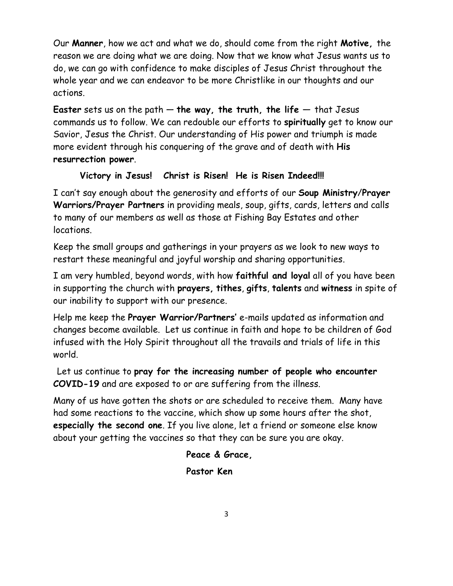Our **Manner**, how we act and what we do, should come from the right **Motive,** the reason we are doing what we are doing. Now that we know what Jesus wants us to do, we can go with confidence to make disciples of Jesus Christ throughout the whole year and we can endeavor to be more Christlike in our thoughts and our actions.

**Easter** sets us on the path — **the way, the truth, the life —** that Jesus commands us to follow. We can redouble our efforts to **spiritually** get to know our Savior, Jesus the Christ. Our understanding of His power and triumph is made more evident through his conquering of the grave and of death with **His resurrection power**.

# **Victory in Jesus! Christ is Risen! He is Risen Indeed!!!**

I can't say enough about the generosity and efforts of our **Soup Ministry**/**Prayer Warriors/Prayer Partners** in providing meals, soup, gifts, cards, letters and calls to many of our members as well as those at Fishing Bay Estates and other locations.

Keep the small groups and gatherings in your prayers as we look to new ways to restart these meaningful and joyful worship and sharing opportunities.

I am very humbled, beyond words, with how **faithful and loyal** all of you have been in supporting the church with **prayers, tithes**, **gifts**, **talents** and **witness** in spite of our inability to support with our presence.

Help me keep the **Prayer Warrior/Partners'** e-mails updated as information and changes become available. Let us continue in faith and hope to be children of God infused with the Holy Spirit throughout all the travails and trials of life in this world.

Let us continue to **pray for the increasing number of people who encounter COVID-19** and are exposed to or are suffering from the illness.

Many of us have gotten the shots or are scheduled to receive them. Many have had some reactions to the vaccine, which show up some hours after the shot, **especially the second one**. If you live alone, let a friend or someone else know about your getting the vaccines so that they can be sure you are okay.

# **Peace & Grace,**

# **Pastor Ken**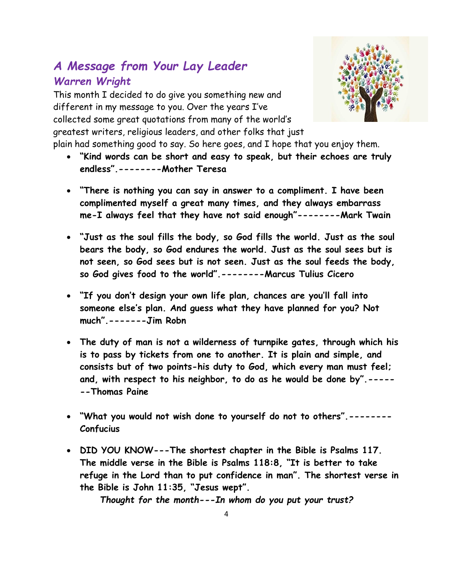# *A Message from Your Lay Leader Warren Wright*

This month I decided to do give you something new and different in my message to you. Over the years I've collected some great quotations from many of the world's greatest writers, religious leaders, and other folks that just



- plain had something good to say. So here goes, and I hope that you enjoy them.
	- **"Kind words can be short and easy to speak, but their echoes are truly endless".--------Mother Teresa**
	- **"There is nothing you can say in answer to a compliment. I have been complimented myself a great many times, and they always embarrass me-I always feel that they have not said enough"--------Mark Twain**
	- **"Just as the soul fills the body, so God fills the world. Just as the soul bears the body, so God endures the world. Just as the soul sees but is not seen, so God sees but is not seen. Just as the soul feeds the body, so God gives food to the world".--------Marcus Tulius Cicero**
	- **"If you don't design your own life plan, chances are you'll fall into someone else's plan. And guess what they have planned for you? Not much".-------Jim Robn**
	- **The duty of man is not a wilderness of turnpike gates, through which his is to pass by tickets from one to another. It is plain and simple, and consists but of two points-his duty to God, which every man must feel; and, with respect to his neighbor, to do as he would be done by".----- --Thomas Paine**
	- **"What you would not wish done to yourself do not to others".-------- Confucius**
	- **DID YOU KNOW---The shortest chapter in the Bible is Psalms 117. The middle verse in the Bible is Psalms 118:8, "It is better to take refuge in the Lord than to put confidence in man". The shortest verse in the Bible is John 11:35, "Jesus wept".**

*Thought for the month---In whom do you put your trust?*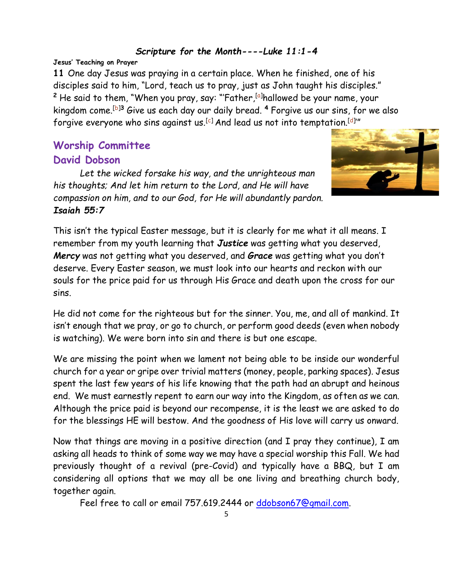#### *Scripture for the Month----Luke 11:1-4*

#### **Jesus' Teaching on Prayer**

**11** One day Jesus was praying in a certain place. When he finished, one of his disciples said to him, "Lord, teach us to pray, just as John taught his disciples." <sup>2</sup> He said to them, "When you pray, say: "'Father,<sup>[\[a\]](https://www.biblegateway.com/passage/?search=Luke%2011:1-4&version=NIV#fen-NIV-25408a)</sup>hallowed be your name, your kingdom come.[\[b\]](https://www.biblegateway.com/passage/?search=Luke%2011:1-4&version=NIV#fen-NIV-25408b)**<sup>3</sup>** Give us each day our daily bread. **<sup>4</sup>** Forgive us our sins, for we also forgive everyone who sins against us. $^{\lceil c \rceil}$  And lead us not into temptation. $^{\lceil d \rceil''}$ 

# **Worship Committee David Dobson**

*Let the wicked forsake his way, and the unrighteous man his thoughts; And let him return to the Lord, and He will have compassion on him, and to our God, for He will abundantly pardon. Isaiah 55:7*



This isn't the typical Easter message, but it is clearly for me what it all means. I remember from my youth learning that *Justice* was getting what you deserved, *Mercy* was not getting what you deserved, and *Grace* was getting what you don't deserve. Every Easter season, we must look into our hearts and reckon with our souls for the price paid for us through His Grace and death upon the cross for our sins.

He did not come for the righteous but for the sinner. You, me, and all of mankind. It isn't enough that we pray, or go to church, or perform good deeds (even when nobody is watching). We were born into sin and there is but one escape.

We are missing the point when we lament not being able to be inside our wonderful church for a year or gripe over trivial matters (money, people, parking spaces). Jesus spent the last few years of his life knowing that the path had an abrupt and heinous end. We must earnestly repent to earn our way into the Kingdom, as often as we can. Although the price paid is beyond our recompense, it is the least we are asked to do for the blessings HE will bestow. And the goodness of His love will carry us onward.

Now that things are moving in a positive direction (and I pray they continue), I am asking all heads to think of some way we may have a special worship this Fall. We had previously thought of a revival (pre-Covid) and typically have a BBQ, but I am considering all options that we may all be one living and breathing church body, together again.

Feel free to call or email 757.619.2444 or [ddobson67@gmail.com.](mailto:ddobson67@gmail.com)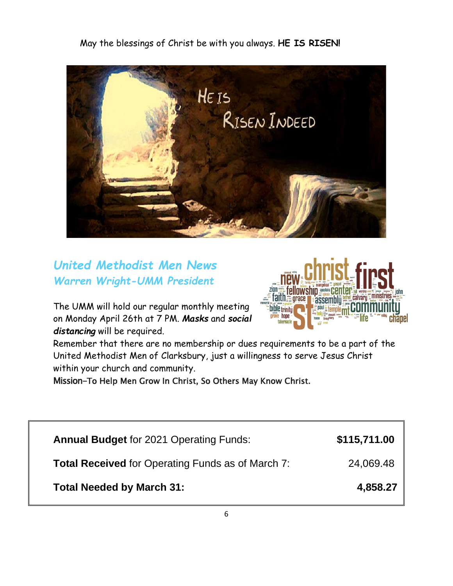May the blessings of Christ be with you always. **HE IS RISEN!**



*United Methodist Men News Warren Wright-UMM President* 

The UMM will hold our regular monthly meeting on Monday April 26th at 7 PM. *Masks* and *social distancing* will be required.



Remember that there are no membership or dues requirements to be a part of the United Methodist Men of Clarksbury, just a willingness to serve Jesus Christ within your church and community.

Mission-To Help Men Grow In Christ, So Others May Know Christ.

| <b>Annual Budget for 2021 Operating Funds:</b>           | \$115,711.00 |
|----------------------------------------------------------|--------------|
| <b>Total Received</b> for Operating Funds as of March 7: | 24,069.48    |
| <b>Total Needed by March 31:</b>                         | 4,858.27     |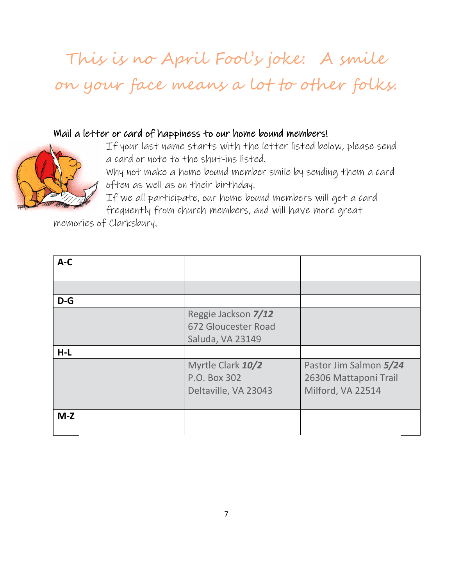# This is no April Fool's joke: A smile on your face means a lot to other folks.

### Mail a letter or card of happiness to our home bound members!



If your last name starts with the letter listed below, please send a card or note to the shut-ins listed.

Why not make a home bound member smile by sending them a card often as well as on their birthday.

If we all participate, our home bound members will get a card frequently from church members, and will have more great

memories of Clarksbury.

| $A-C$ |                                                                |                                                                      |
|-------|----------------------------------------------------------------|----------------------------------------------------------------------|
|       |                                                                |                                                                      |
| $D-G$ |                                                                |                                                                      |
|       | Reggie Jackson 7/12<br>672 Gloucester Road<br>Saluda, VA 23149 |                                                                      |
| $H-L$ |                                                                |                                                                      |
|       | Myrtle Clark 10/2<br>P.O. Box 302<br>Deltaville, VA 23043      | Pastor Jim Salmon 5/24<br>26306 Mattaponi Trail<br>Milford, VA 22514 |
| $M-Z$ |                                                                |                                                                      |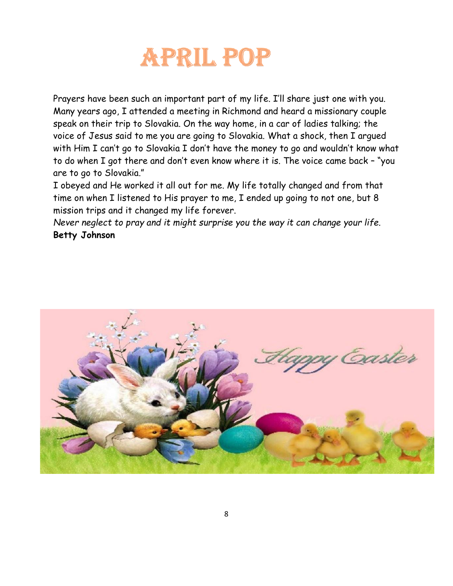

Prayers have been such an important part of my life. I'll share just one with you. Many years ago, I attended a meeting in Richmond and heard a missionary couple speak on their trip to Slovakia. On the way home, in a car of ladies talking; the voice of Jesus said to me you are going to Slovakia. What a shock, then I argued with Him I can't go to Slovakia I don't have the money to go and wouldn't know what to do when I got there and don't even know where it is. The voice came back – "you are to go to Slovakia."

I obeyed and He worked it all out for me. My life totally changed and from that time on when I listened to His prayer to me, I ended up going to not one, but 8 mission trips and it changed my life forever.

*Never neglect to pray and it might surprise you the way it can change your life.* **Betty Johnson**